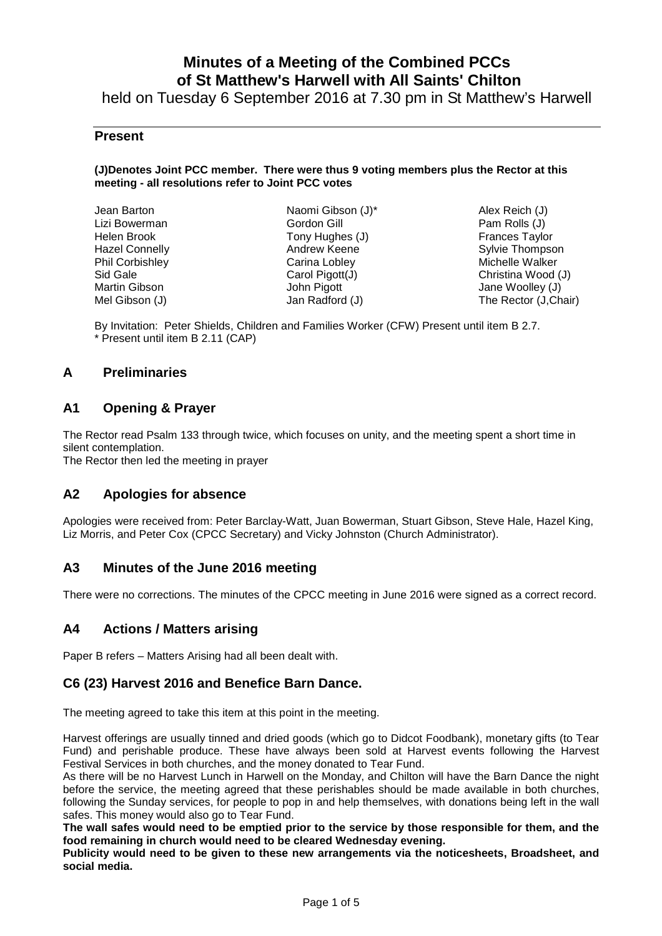# **Minutes of a Meeting of the Combined PCCs of St Matthew's Harwell with All Saints' Chilton**

held on Tuesday 6 September 2016 at 7.30 pm in St Matthew's Harwell

### **Present**

#### **(J)Denotes Joint PCC member. There were thus 9 voting members plus the Rector at this meeting - all resolutions refer to Joint PCC votes**

| Jean Barton           | Naomi Gibson (J)* |
|-----------------------|-------------------|
| Lizi Bowerman         | Gordon Gill       |
| Helen Brook           | Tony Hughes (J)   |
| <b>Hazel Connelly</b> | Andrew Keene      |
| Phil Corbishley       | Carina Lobley     |
| Sid Gale              | Carol Pigott(J)   |
| Martin Gibson         | John Pigott       |
| Mel Gibson (J)        | Jan Radford (J)   |
|                       |                   |

Alex Reich (J) Pam Rolls (J) Frances Taylor Sylvie Thompson Michelle Walker Christina Wood (J) Jane Woolley (J) The Rector (J,Chair)

By Invitation: Peter Shields, Children and Families Worker (CFW) Present until item B 2.7. \* Present until item B 2.11 (CAP)

# **A Preliminaries**

### **A1 Opening & Prayer**

The Rector read Psalm 133 through twice, which focuses on unity, and the meeting spent a short time in silent contemplation.

The Rector then led the meeting in prayer

### **A2 Apologies for absence**

Apologies were received from: Peter Barclay-Watt, Juan Bowerman, Stuart Gibson, Steve Hale, Hazel King, Liz Morris, and Peter Cox (CPCC Secretary) and Vicky Johnston (Church Administrator).

### **A3 Minutes of the June 2016 meeting**

There were no corrections. The minutes of the CPCC meeting in June 2016 were signed as a correct record.

### **A4 Actions / Matters arising**

Paper B refers – Matters Arising had all been dealt with.

### **C6 (23) Harvest 2016 and Benefice Barn Dance.**

The meeting agreed to take this item at this point in the meeting.

Harvest offerings are usually tinned and dried goods (which go to Didcot Foodbank), monetary gifts (to Tear Fund) and perishable produce. These have always been sold at Harvest events following the Harvest Festival Services in both churches, and the money donated to Tear Fund.

As there will be no Harvest Lunch in Harwell on the Monday, and Chilton will have the Barn Dance the night before the service, the meeting agreed that these perishables should be made available in both churches, following the Sunday services, for people to pop in and help themselves, with donations being left in the wall safes. This money would also go to Tear Fund.

**The wall safes would need to be emptied prior to the service by those responsible for them, and the food remaining in church would need to be cleared Wednesday evening.** 

**Publicity would need to be given to these new arrangements via the noticesheets, Broadsheet, and social media.**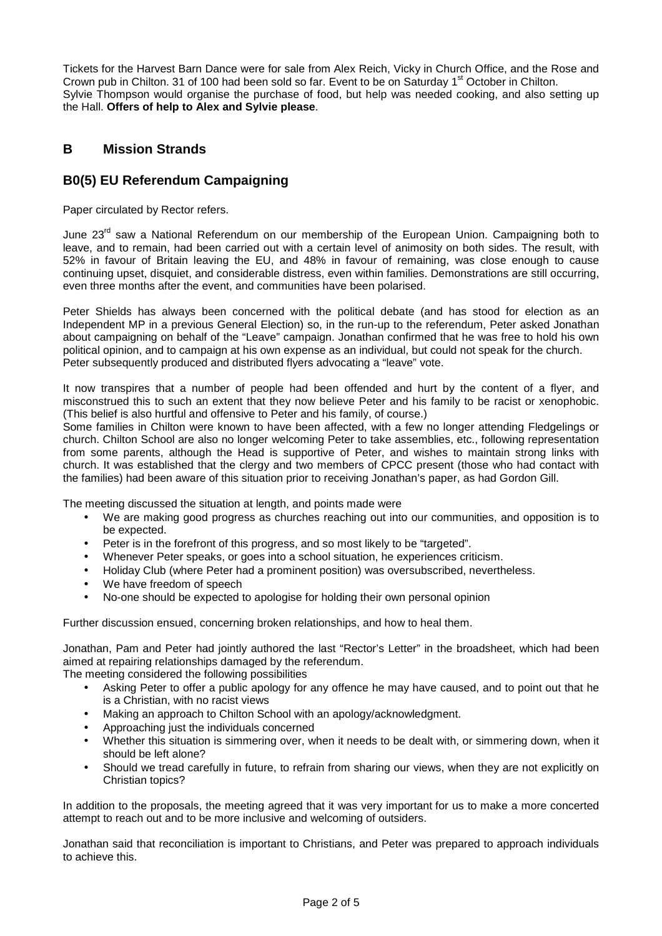Tickets for the Harvest Barn Dance were for sale from Alex Reich, Vicky in Church Office, and the Rose and Crown pub in Chilton. 31 of 100 had been sold so far. Event to be on Saturday 1<sup>st</sup> October in Chilton. Sylvie Thompson would organise the purchase of food, but help was needed cooking, and also setting up the Hall. **Offers of help to Alex and Sylvie please**.

# **B Mission Strands**

# **B0(5) EU Referendum Campaigning**

Paper circulated by Rector refers.

June 23<sup>rd</sup> saw a National Referendum on our membership of the European Union. Campaigning both to leave, and to remain, had been carried out with a certain level of animosity on both sides. The result, with 52% in favour of Britain leaving the EU, and 48% in favour of remaining, was close enough to cause continuing upset, disquiet, and considerable distress, even within families. Demonstrations are still occurring, even three months after the event, and communities have been polarised.

Peter Shields has always been concerned with the political debate (and has stood for election as an Independent MP in a previous General Election) so, in the run-up to the referendum, Peter asked Jonathan about campaigning on behalf of the "Leave" campaign. Jonathan confirmed that he was free to hold his own political opinion, and to campaign at his own expense as an individual, but could not speak for the church. Peter subsequently produced and distributed flyers advocating a "leave" vote.

It now transpires that a number of people had been offended and hurt by the content of a flyer, and misconstrued this to such an extent that they now believe Peter and his family to be racist or xenophobic. (This belief is also hurtful and offensive to Peter and his family, of course.)

Some families in Chilton were known to have been affected, with a few no longer attending Fledgelings or church. Chilton School are also no longer welcoming Peter to take assemblies, etc., following representation from some parents, although the Head is supportive of Peter, and wishes to maintain strong links with church. It was established that the clergy and two members of CPCC present (those who had contact with the families) had been aware of this situation prior to receiving Jonathan's paper, as had Gordon Gill.

The meeting discussed the situation at length, and points made were

- We are making good progress as churches reaching out into our communities, and opposition is to be expected.
- Peter is in the forefront of this progress, and so most likely to be "targeted".
- Whenever Peter speaks, or goes into a school situation, he experiences criticism.
- Holiday Club (where Peter had a prominent position) was oversubscribed, nevertheless.
- We have freedom of speech
- No-one should be expected to apologise for holding their own personal opinion

Further discussion ensued, concerning broken relationships, and how to heal them.

Jonathan, Pam and Peter had jointly authored the last "Rector's Letter" in the broadsheet, which had been aimed at repairing relationships damaged by the referendum.

The meeting considered the following possibilities

- Asking Peter to offer a public apology for any offence he may have caused, and to point out that he is a Christian, with no racist views
- Making an approach to Chilton School with an apology/acknowledgment.
- Approaching just the individuals concerned
- Whether this situation is simmering over, when it needs to be dealt with, or simmering down, when it should be left alone?
- Should we tread carefully in future, to refrain from sharing our views, when they are not explicitly on Christian topics?

In addition to the proposals, the meeting agreed that it was very important for us to make a more concerted attempt to reach out and to be more inclusive and welcoming of outsiders.

Jonathan said that reconciliation is important to Christians, and Peter was prepared to approach individuals to achieve this.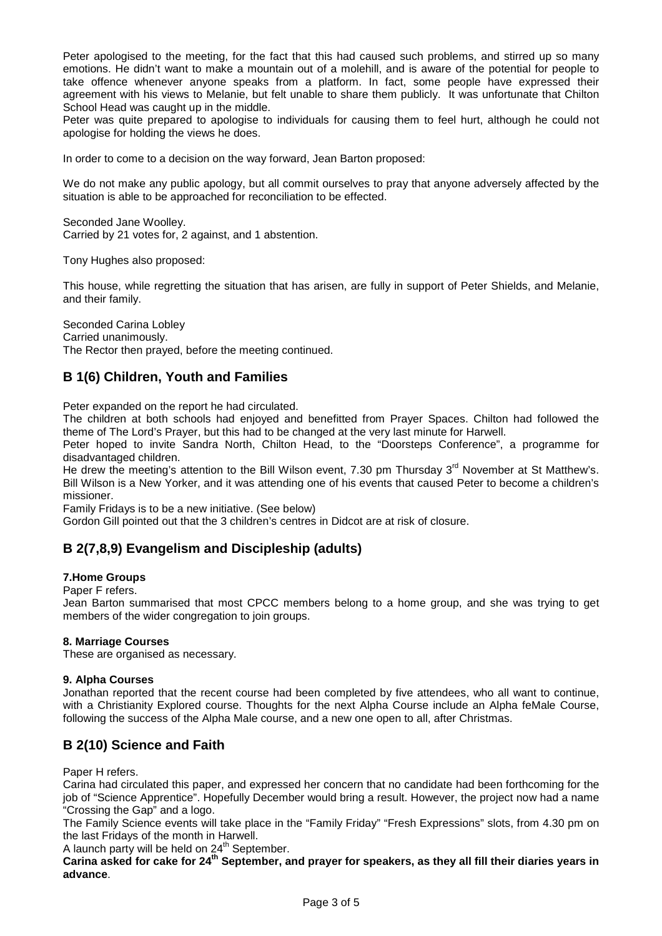Peter apologised to the meeting, for the fact that this had caused such problems, and stirred up so many emotions. He didn't want to make a mountain out of a molehill, and is aware of the potential for people to take offence whenever anyone speaks from a platform. In fact, some people have expressed their agreement with his views to Melanie, but felt unable to share them publicly. It was unfortunate that Chilton School Head was caught up in the middle.

Peter was quite prepared to apologise to individuals for causing them to feel hurt, although he could not apologise for holding the views he does.

In order to come to a decision on the way forward, Jean Barton proposed:

We do not make any public apology, but all commit ourselves to pray that anyone adversely affected by the situation is able to be approached for reconciliation to be effected.

Seconded Jane Woolley. Carried by 21 votes for, 2 against, and 1 abstention.

Tony Hughes also proposed:

This house, while regretting the situation that has arisen, are fully in support of Peter Shields, and Melanie, and their family.

Seconded Carina Lobley Carried unanimously. The Rector then prayed, before the meeting continued.

# **B 1(6) Children, Youth and Families**

Peter expanded on the report he had circulated.

The children at both schools had enjoyed and benefitted from Prayer Spaces. Chilton had followed the theme of The Lord's Prayer, but this had to be changed at the very last minute for Harwell.

Peter hoped to invite Sandra North, Chilton Head, to the "Doorsteps Conference", a programme for disadvantaged children.

He drew the meeting's attention to the Bill Wilson event, 7.30 pm Thursday  $3<sup>rd</sup>$  November at St Matthew's. Bill Wilson is a New Yorker, and it was attending one of his events that caused Peter to become a children's missioner.

Family Fridays is to be a new initiative. (See below)

Gordon Gill pointed out that the 3 children's centres in Didcot are at risk of closure.

# **B 2(7,8,9) Evangelism and Discipleship (adults)**

#### **7.Home Groups**

Paper F refers.

Jean Barton summarised that most CPCC members belong to a home group, and she was trying to get members of the wider congregation to join groups.

#### **8. Marriage Courses**

These are organised as necessary.

#### **9. Alpha Courses**

Jonathan reported that the recent course had been completed by five attendees, who all want to continue, with a Christianity Explored course. Thoughts for the next Alpha Course include an Alpha feMale Course, following the success of the Alpha Male course, and a new one open to all, after Christmas.

# **B 2(10) Science and Faith**

Paper H refers.

Carina had circulated this paper, and expressed her concern that no candidate had been forthcoming for the job of "Science Apprentice". Hopefully December would bring a result. However, the project now had a name "Crossing the Gap" and a logo.

The Family Science events will take place in the "Family Friday" "Fresh Expressions" slots, from 4.30 pm on the last Fridays of the month in Harwell.

A launch party will be held on  $24<sup>th</sup>$  September.

**Carina asked for cake for 24th September, and prayer for speakers, as they all fill their diaries years in advance**.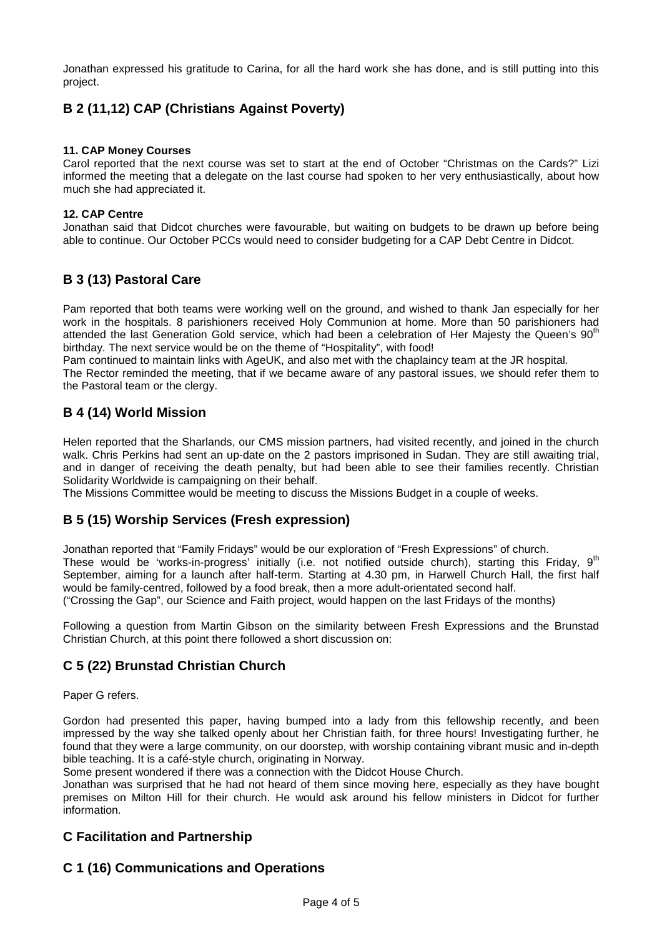Jonathan expressed his gratitude to Carina, for all the hard work she has done, and is still putting into this project.

# **B 2 (11,12) CAP (Christians Against Poverty)**

### **11. CAP Money Courses**

Carol reported that the next course was set to start at the end of October "Christmas on the Cards?" Lizi informed the meeting that a delegate on the last course had spoken to her very enthusiastically, about how much she had appreciated it.

### **12. CAP Centre**

Jonathan said that Didcot churches were favourable, but waiting on budgets to be drawn up before being able to continue. Our October PCCs would need to consider budgeting for a CAP Debt Centre in Didcot.

# **B 3 (13) Pastoral Care**

Pam reported that both teams were working well on the ground, and wished to thank Jan especially for her work in the hospitals. 8 parishioners received Holy Communion at home. More than 50 parishioners had attended the last Generation Gold service, which had been a celebration of Her Majesty the Queen's 90<sup>th</sup> birthday. The next service would be on the theme of "Hospitality", with food!

Pam continued to maintain links with AgeUK, and also met with the chaplaincy team at the JR hospital. The Rector reminded the meeting, that if we became aware of any pastoral issues, we should refer them to the Pastoral team or the clergy.

# **B 4 (14) World Mission**

Helen reported that the Sharlands, our CMS mission partners, had visited recently, and joined in the church walk. Chris Perkins had sent an up-date on the 2 pastors imprisoned in Sudan. They are still awaiting trial, and in danger of receiving the death penalty, but had been able to see their families recently. Christian Solidarity Worldwide is campaigning on their behalf.

The Missions Committee would be meeting to discuss the Missions Budget in a couple of weeks.

# **B 5 (15) Worship Services (Fresh expression)**

Jonathan reported that "Family Fridays" would be our exploration of "Fresh Expressions" of church. These would be 'works-in-progress' initially (i.e. not notified outside church), starting this Friday, 9<sup>th</sup> September, aiming for a launch after half-term. Starting at 4.30 pm, in Harwell Church Hall, the first half would be family-centred, followed by a food break, then a more adult-orientated second half. ("Crossing the Gap", our Science and Faith project, would happen on the last Fridays of the months)

Following a question from Martin Gibson on the similarity between Fresh Expressions and the Brunstad Christian Church, at this point there followed a short discussion on:

# **C 5 (22) Brunstad Christian Church**

Paper G refers.

Gordon had presented this paper, having bumped into a lady from this fellowship recently, and been impressed by the way she talked openly about her Christian faith, for three hours! Investigating further, he found that they were a large community, on our doorstep, with worship containing vibrant music and in-depth bible teaching. It is a café-style church, originating in Norway.

Some present wondered if there was a connection with the Didcot House Church.

Jonathan was surprised that he had not heard of them since moving here, especially as they have bought premises on Milton Hill for their church. He would ask around his fellow ministers in Didcot for further information.

# **C Facilitation and Partnership**

# **C 1 (16) Communications and Operations**